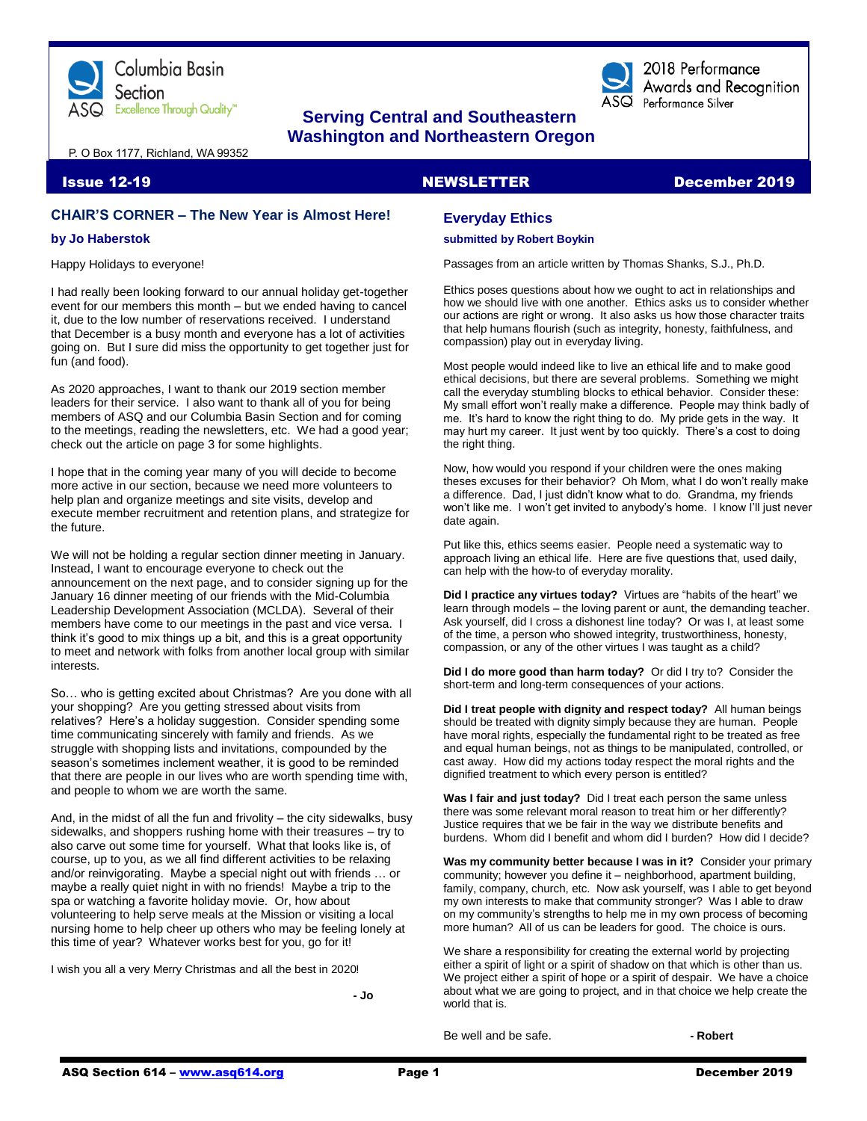

## **Serving Central and Southeastern Washington and Northeastern Oregon**

P. O Box 1177, Richland, WA 99352

#### **Issue 12-19 Issue 12-19** NEWSLETTER **NEWSLETTER** December 2019

### **CHAIR'S CORNER – The New Year is Almost Here!**

#### **by Jo Haberstok**

Happy Holidays to everyone!

I had really been looking forward to our annual holiday get-together event for our members this month – but we ended having to cancel it, due to the low number of reservations received. I understand that December is a busy month and everyone has a lot of activities going on. But I sure did miss the opportunity to get together just for fun (and food).

As 2020 approaches, I want to thank our 2019 section member leaders for their service. I also want to thank all of you for being members of ASQ and our Columbia Basin Section and for coming to the meetings, reading the newsletters, etc. We had a good year; check out the article on page 3 for some highlights.

I hope that in the coming year many of you will decide to become more active in our section, because we need more volunteers to help plan and organize meetings and site visits, develop and execute member recruitment and retention plans, and strategize for the future.

We will not be holding a regular section dinner meeting in January. Instead, I want to encourage everyone to check out the announcement on the next page, and to consider signing up for the January 16 dinner meeting of our friends with the Mid-Columbia Leadership Development Association (MCLDA). Several of their members have come to our meetings in the past and vice versa. I think it's good to mix things up a bit, and this is a great opportunity to meet and network with folks from another local group with similar interests.

So… who is getting excited about Christmas? Are you done with all your shopping? Are you getting stressed about visits from relatives? Here's a holiday suggestion. Consider spending some time communicating sincerely with family and friends. As we struggle with shopping lists and invitations, compounded by the season's sometimes inclement weather, it is good to be reminded that there are people in our lives who are worth spending time with, and people to whom we are worth the same.

And, in the midst of all the fun and frivolity – the city sidewalks, busy sidewalks, and shoppers rushing home with their treasures – try to also carve out some time for yourself. What that looks like is, of course, up to you, as we all find different activities to be relaxing and/or reinvigorating. Maybe a special night out with friends … or maybe a really quiet night in with no friends! Maybe a trip to the spa or watching a favorite holiday movie. Or, how about volunteering to help serve meals at the Mission or visiting a local nursing home to help cheer up others who may be feeling lonely at this time of year? Whatever works best for you, go for it!

I wish you all a very Merry Christmas and all the best in 2020!

**- Jo**

# **Everyday Ethics**

#### **submitted by Robert Boykin**

Passages from an article written by Thomas Shanks, S.J., Ph.D.

Ethics poses questions about how we ought to act in relationships and how we should live with one another. Ethics asks us to consider whether our actions are right or wrong. It also asks us how those character traits that help humans flourish (such as integrity, honesty, faithfulness, and compassion) play out in everyday living.

Most people would indeed like to live an ethical life and to make good ethical decisions, but there are several problems. Something we might call the everyday stumbling blocks to ethical behavior. Consider these: My small effort won't really make a difference. People may think badly of me. It's hard to know the right thing to do. My pride gets in the way. It may hurt my career. It just went by too quickly. There's a cost to doing the right thing.

Now, how would you respond if your children were the ones making theses excuses for their behavior? Oh Mom, what I do won't really make a difference. Dad, I just didn't know what to do. Grandma, my friends won't like me. I won't get invited to anybody's home. I know I'll just never date again.

Put like this, ethics seems easier. People need a systematic way to approach living an ethical life. Here are five questions that, used daily, can help with the how-to of everyday morality.

**Did I practice any virtues today?** Virtues are "habits of the heart" we learn through models – the loving parent or aunt, the demanding teacher. Ask yourself, did I cross a dishonest line today? Or was I, at least some of the time, a person who showed integrity, trustworthiness, honesty, compassion, or any of the other virtues I was taught as a child?

**Did I do more good than harm today?** Or did I try to? Consider the short-term and long-term consequences of your actions.

**Did I treat people with dignity and respect today?** All human beings should be treated with dignity simply because they are human. People have moral rights, especially the fundamental right to be treated as free and equal human beings, not as things to be manipulated, controlled, or cast away. How did my actions today respect the moral rights and the dignified treatment to which every person is entitled?

**Was I fair and just today?** Did I treat each person the same unless there was some relevant moral reason to treat him or her differently? Justice requires that we be fair in the way we distribute benefits and burdens. Whom did I benefit and whom did I burden? How did I decide?

**Was my community better because I was in it?** Consider your primary community; however you define it – neighborhood, apartment building, family, company, church, etc. Now ask yourself, was I able to get beyond my own interests to make that community stronger? Was I able to draw on my community's strengths to help me in my own process of becoming more human? All of us can be leaders for good. The choice is ours.

We share a responsibility for creating the external world by projecting either a spirit of light or a spirit of shadow on that which is other than us. We project either a spirit of hope or a spirit of despair. We have a choice about what we are going to project, and in that choice we help create the world that is.

Be well and be safe. **and in the same of the same of the Robert - Robert** 

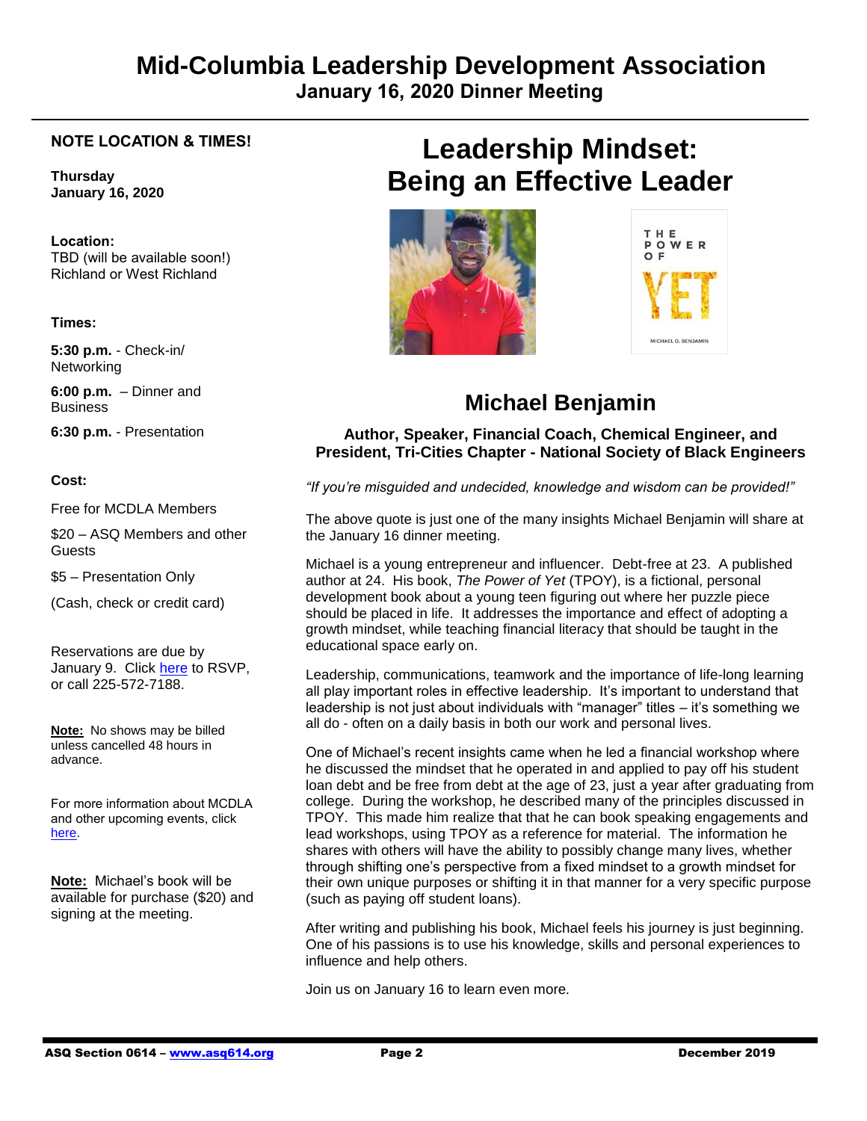## **NOTE LOCATION & TIMES!**

**Thursday January 16, 2020**

**Location:** TBD (will be available soon!) Richland or West Richland

#### **Times:**

**5:30 p.m.** - Check-in/ **Networking** 

**6:00 p.m.** – Dinner and Business

**6:30 p.m.** - Presentation

#### **Cost:**

Free for MCDLA Members

\$20 – ASQ Members and other **Guests** 

\$5 – Presentation Only

(Cash, check or credit card)

Reservations are due by January 9. Click [here](mailto:floreinemay@hotmail.com) to RSVP, or call 225-572-7188.

**Note:** No shows may be billed unless cancelled 48 hours in advance.

For more information about MCDLA and other upcoming events, click [here.](https://www.mclda2.org/?fbclid=IwAR2m9XN4CUALDjBA6Q5YDJM8mZwSgFGvdG0ccOe-rAIyir7696V0mMKampQ)

**Note:** Michael's book will be available for purchase (\$20) and signing at the meeting.

# **Leadership Mindset: Being an Effective Leader**





## **Michael Benjamin**

**Author, Speaker, Financial Coach, Chemical Engineer, and President, Tri-Cities Chapter - National Society of Black Engineers**

*"If you're misguided and undecided, knowledge and wisdom can be provided!"*

The above quote is just one of the many insights Michael Benjamin will share at the January 16 dinner meeting.

Michael is a young entrepreneur and influencer. Debt-free at 23. A published author at 24. His book, *The Power of Yet* (TPOY), is a fictional, personal development book about a young teen figuring out where her puzzle piece should be placed in life. It addresses the importance and effect of adopting a growth mindset, while teaching financial literacy that should be taught in the educational space early on.

Leadership, communications, teamwork and the importance of life-long learning all play important roles in effective leadership. It's important to understand that leadership is not just about individuals with "manager" titles – it's something we all do - often on a daily basis in both our work and personal lives.

One of Michael's recent insights came when he led a financial workshop where he discussed the mindset that he operated in and applied to pay off his student loan debt and be free from debt at the age of 23, just a year after graduating from college. During the workshop, he described many of the principles discussed in TPOY. This made him realize that that he can book speaking engagements and lead workshops, using TPOY as a reference for material. The information he shares with others will have the ability to possibly change many lives, whether through shifting one's perspective from a fixed mindset to a growth mindset for their own unique purposes or shifting it in that manner for a very specific purpose (such as paying off student loans).

After writing and publishing his book, Michael feels his journey is just beginning. One of his passions is to use his knowledge, skills and personal experiences to influence and help others.

Join us on January 16 to learn even more*.*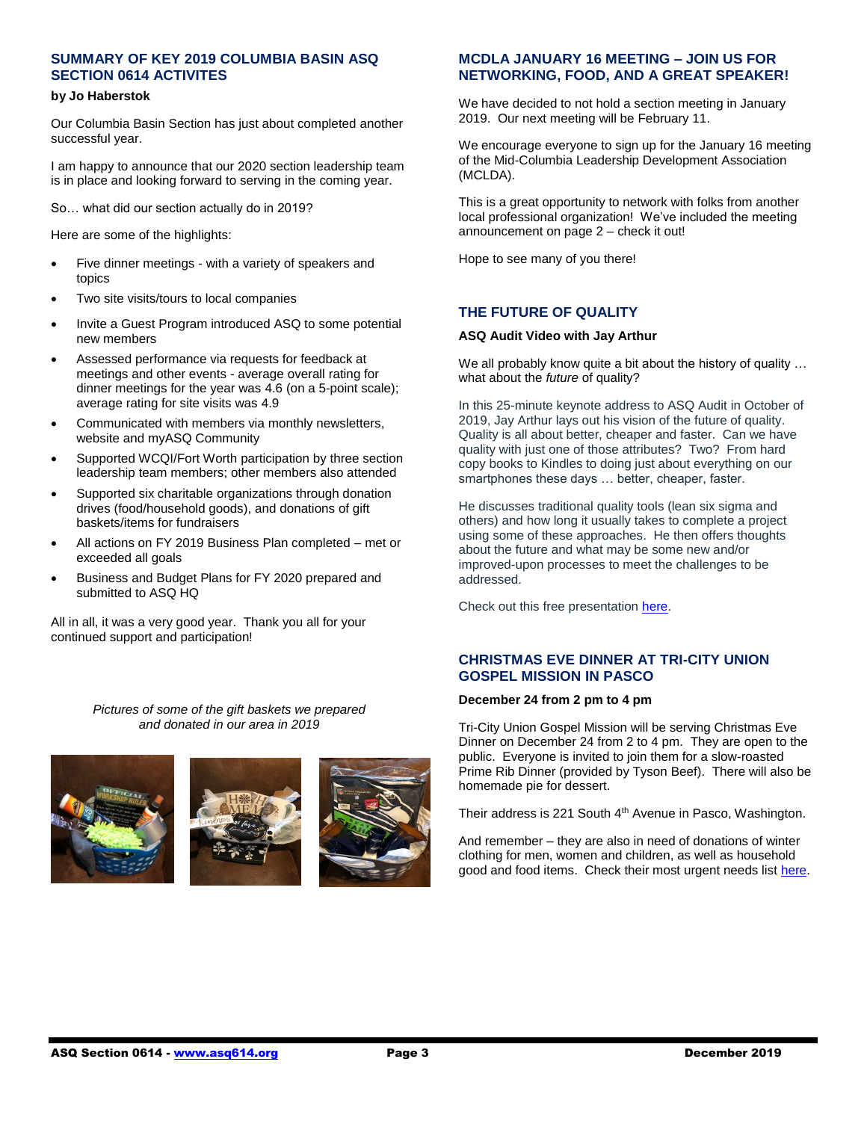## **SUMMARY OF KEY 2019 COLUMBIA BASIN ASQ SECTION 0614 ACTIVITES**

#### **by Jo Haberstok**

Our Columbia Basin Section has just about completed another successful year.

I am happy to announce that our 2020 section leadership team is in place and looking forward to serving in the coming year.

So… what did our section actually do in 2019?

Here are some of the highlights:

- Five dinner meetings with a variety of speakers and topics
- Two site visits/tours to local companies
- Invite a Guest Program introduced ASQ to some potential new members
- Assessed performance via requests for feedback at meetings and other events - average overall rating for dinner meetings for the year was 4.6 (on a 5-point scale); average rating for site visits was 4.9
- Communicated with members via monthly newsletters, website and myASQ Community
- Supported WCQI/Fort Worth participation by three section leadership team members; other members also attended
- Supported six charitable organizations through donation drives (food/household goods), and donations of gift baskets/items for fundraisers
- All actions on FY 2019 Business Plan completed met or exceeded all goals
- Business and Budget Plans for FY 2020 prepared and submitted to ASQ HQ

All in all, it was a very good year. Thank you all for your continued support and participation!

> *Pictures of some of the gift baskets we prepared and donated in our area in 2019*







## **MCDLA JANUARY 16 MEETING – JOIN US FOR NETWORKING, FOOD, AND A GREAT SPEAKER!**

We have decided to not hold a section meeting in January 2019. Our next meeting will be February 11.

We encourage everyone to sign up for the January 16 meeting of the Mid-Columbia Leadership Development Association (MCLDA).

This is a great opportunity to network with folks from another local professional organization! We've included the meeting announcement on page 2 – check it out!

Hope to see many of you there!

## **THE FUTURE OF QUALITY**

#### **ASQ Audit Video with Jay Arthur**

We all probably know quite a bit about the history of quality … what about the *future* of quality?

In this 25-minute keynote address to ASQ Audit in October of 2019, Jay Arthur lays out his vision of the future of quality. Quality is all about better, cheaper and faster. Can we have quality with just one of those attributes? Two? From hard copy books to Kindles to doing just about everything on our smartphones these days … better, cheaper, faster.

He discusses traditional quality tools (lean six sigma and others) and how long it usually takes to complete a project using some of these approaches. He then offers thoughts about the future and what may be some new and/or improved-upon processes to meet the challenges to be addressed.

Check out this free presentation [here.](https://vimeo.com/367880753)

#### **CHRISTMAS EVE DINNER AT TRI-CITY UNION GOSPEL MISSION IN PASCO**

#### **December 24 from 2 pm to 4 pm**

Tri-City Union Gospel Mission will be serving Christmas Eve Dinner on December 24 from 2 to 4 pm. They are open to the public. Everyone is invited to join them for a slow-roasted Prime Rib Dinner (provided by Tyson Beef). There will also be homemade pie for dessert.

Their address is 221 South 4<sup>th</sup> Avenue in Pasco, Washington.

And remember – they are also in need of donations of winter clothing for men, women and children, as well as household good and food items. Check their most urgent needs lis[t here.](https://www.tcugm.org/needs)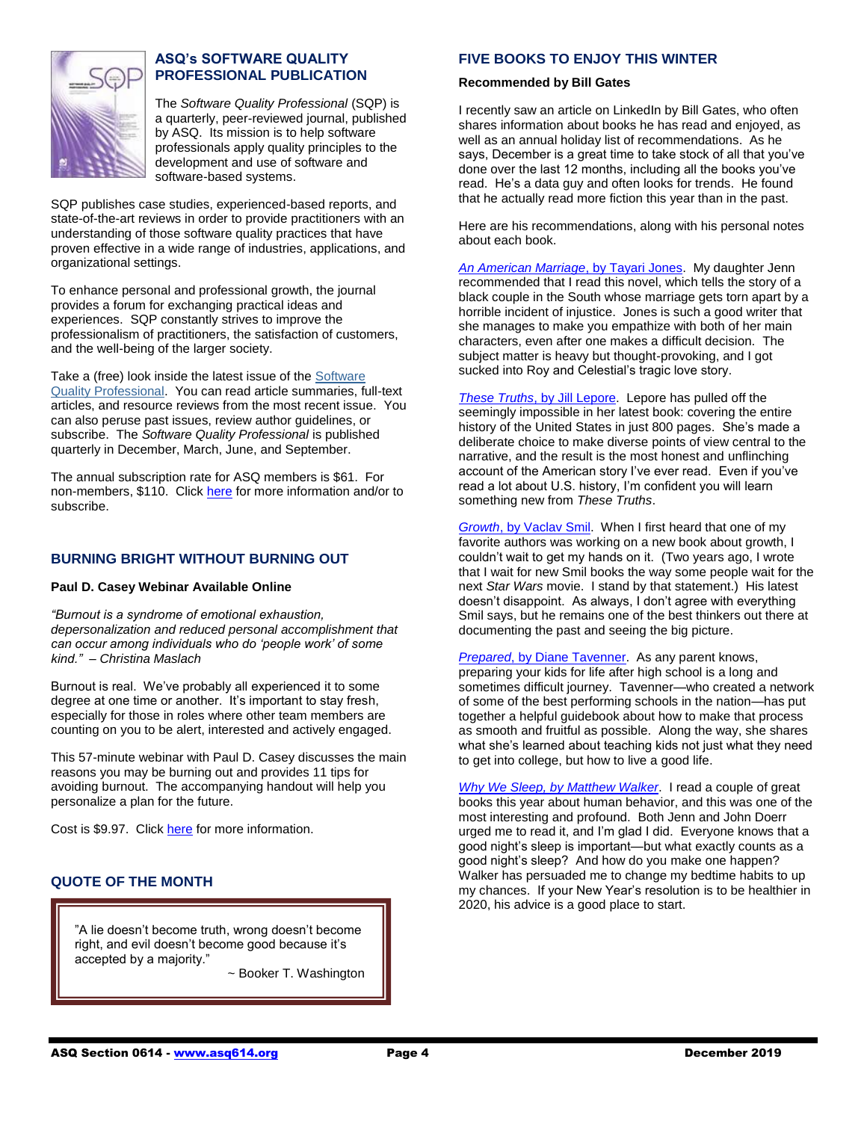

## **ASQ's SOFTWARE QUALITY PROFESSIONAL PUBLICATION**

The *Software Quality Professional* (SQP) is a quarterly, peer-reviewed journal, published by ASQ. Its mission is to help software professionals apply quality principles to the development and use of software and software-based systems.

SQP publishes case studies, experienced-based reports, and state-of-the-art reviews in order to provide practitioners with an understanding of those software quality practices that have proven effective in a wide range of industries, applications, and organizational settings.

To enhance personal and professional growth, the journal provides a forum for exchanging practical ideas and experiences. SQP constantly strives to improve the professionalism of practitioners, the satisfaction of customers, and the well-being of the larger society.

Take a (free) look inside the latest issue of th[e Software](http://www.asq.org/pub/sqp/)  [Quality Professional.](http://www.asq.org/pub/sqp/) You can read article summaries, full-text articles, and resource reviews from the most recent issue. You can also peruse past issues, review author guidelines, or subscribe. The *Software Quality Professional* is published quarterly in December, March, June, and September.

The annual subscription rate for ASQ members is \$61. For non-members, \$110. Click [here](http://asq.org/quality-press/journal/index.html?item=SUBSCR_SQP) for more information and/or to subscribe.

## **BURNING BRIGHT WITHOUT BURNING OUT**

#### **Paul D. Casey Webinar Available Online**

*"Burnout is a syndrome of emotional exhaustion, depersonalization and reduced personal accomplishment that can occur among individuals who do 'people work' of some kind." – Christina Maslach* 

Burnout is real. We've probably all experienced it to some degree at one time or another. It's important to stay fresh, especially for those in roles where other team members are counting on you to be alert, interested and actively engaged.

This 57-minute webinar with Paul D. Casey discusses the main reasons you may be burning out and provides 11 tips for avoiding burnout. The accompanying handout will help you personalize a plan for the future.

Cost is \$9.97. Click [here](https://www.paulcasey.org/product/burning-bright-without-burning-out-webinar/) for more information.

## **QUOTE OF THE MONTH**

"A lie doesn't become truth, wrong doesn't become right, and evil doesn't become good because it's accepted by a majority."

~ Booker T. Washington

## **FIVE BOOKS TO ENJOY THIS WINTER**

#### **Recommended by Bill Gates**

I recently saw an article on LinkedIn by Bill Gates, who often shares information about books he has read and enjoyed, as well as an annual holiday list of recommendations. As he says, December is a great time to take stock of all that you've done over the last 12 months, including all the books you've read. He's a data guy and often looks for trends. He found that he actually read more fiction this year than in the past.

Here are his recommendations, along with his personal notes about each book.

*[An American Marriage](https://www.gatesnotes.com/Books/An-American-Marriage)*, by Tayari Jones. My daughter Jenn recommended that I read this novel, which tells the story of a black couple in the South whose marriage gets torn apart by a horrible incident of injustice. Jones is such a good writer that she manages to make you empathize with both of her main characters, even after one makes a difficult decision. The subject matter is heavy but thought-provoking, and I got sucked into Roy and Celestial's tragic love story.

*These Truths*[, by Jill Lepore.](https://www.gatesnotes.com/Books/These-Truths) Lepore has pulled off the seemingly impossible in her latest book: covering the entire history of the United States in just 800 pages. She's made a deliberate choice to make diverse points of view central to the narrative, and the result is the most honest and unflinching account of the American story I've ever read. Even if you've read a lot about U.S. history, I'm confident you will learn something new from *These Truths*.

*Growth*[, by Vaclav Smil.](https://www.gatesnotes.com/Books/Growth) When I first heard that one of my favorite authors was working on a new book about growth, I couldn't wait to get my hands on it. (Two years ago, I wrote that I wait for new Smil books the way some people wait for the next *Star Wars* movie. I stand by that statement.) His latest doesn't disappoint. As always, I don't agree with everything Smil says, but he remains one of the best thinkers out there at documenting the past and seeing the big picture.

*Prepared*[, by Diane Tavenner.](https://www.gatesnotes.com/Books/Prepared) As any parent knows, preparing your kids for life after high school is a long and sometimes difficult journey. Tavenner—who created a network of some of the best performing schools in the nation—has put together a helpful guidebook about how to make that process as smooth and fruitful as possible. Along the way, she shares what she's learned about teaching kids not just what they need to get into college, but how to live a good life.

*[Why We Sleep, by Matthew Walker](https://www.gatesnotes.com/Books/Why-We-Sleep)*. I read a couple of great books this year about human behavior, and this was one of the most interesting and profound. Both Jenn and John Doerr urged me to read it, and I'm glad I did. Everyone knows that a good night's sleep is important—but what exactly counts as a good night's sleep? And how do you make one happen? Walker has persuaded me to change my bedtime habits to up my chances. If your New Year's resolution is to be healthier in 2020, his advice is a good place to start.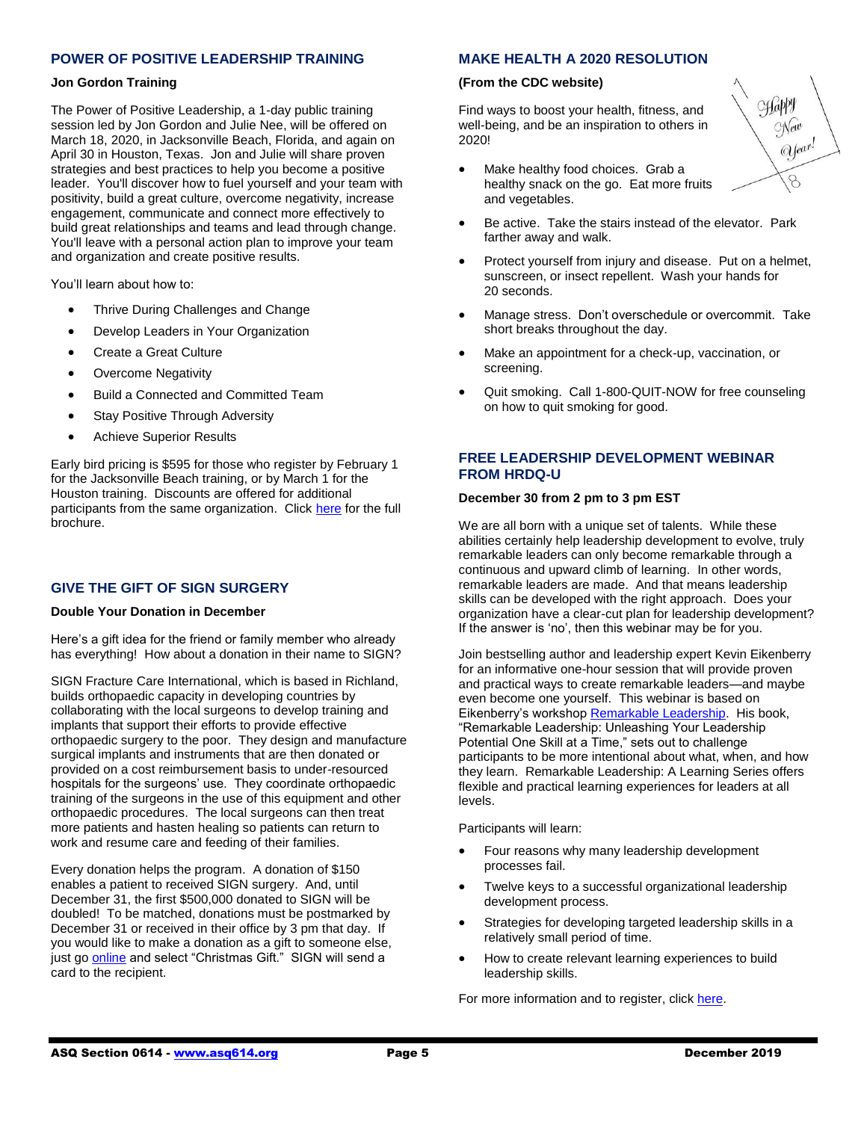## **POWER OF POSITIVE LEADERSHIP TRAINING**

#### **Jon Gordon Training**

The Power of Positive Leadership, a 1-day public training session led by Jon Gordon and Julie Nee, will be offered on March 18, 2020, in Jacksonville Beach, Florida, and again on April 30 in Houston, Texas. Jon and Julie will share proven strategies and best practices to help you become a positive leader. You'll discover how to fuel yourself and your team with positivity, build a great culture, overcome negativity, increase engagement, communicate and connect more effectively to build great relationships and teams and lead through change. You'll leave with a personal action plan to improve your team and organization and create positive results.

You'll learn about how to:

- Thrive During Challenges and Change
- Develop Leaders in Your Organization
- Create a Great Culture
- Overcome Negativity
- **•** Build a Connected and Committed Team
- Stay Positive Through Adversity
- Achieve Superior Results

Early bird pricing is \$595 for those who register by February 1 for the Jacksonville Beach training, or by March 1 for the Houston training. Discounts are offered for additional participants from the same organization. Click [here](http://popltraining.com/#register) for the full brochure.

#### **GIVE THE GIFT OF SIGN SURGERY**

#### **Double Your Donation in December**

Here's a gift idea for the friend or family member who already has everything! How about a donation in their name to SIGN?

SIGN Fracture Care International, which is based in Richland, builds orthopaedic capacity in developing countries by collaborating with the local surgeons to develop training and implants that support their efforts to provide effective orthopaedic surgery to the poor. They design and manufacture surgical implants and instruments that are then donated or provided on a cost reimbursement basis to under-resourced hospitals for the surgeons' use. They coordinate orthopaedic training of the surgeons in the use of this equipment and other orthopaedic procedures. The local surgeons can then treat more patients and hasten healing so patients can return to work and resume care and feeding of their families.

Every donation helps the program. A donation of \$150 enables a patient to received SIGN surgery. And, until December 31, the first \$500,000 donated to SIGN will be doubled! To be matched, donations must be postmarked by December 31 or received in their office by 3 pm that day. If you would like to make a donation as a gift to someone else, just go [online](https://www.signfracturecare.org/donate-now) and select "Christmas Gift." SIGN will send a card to the recipient.

#### **MAKE HEALTH A 2020 RESOLUTION**

#### **(From the CDC website)**

Find ways to boost your health, fitness, and well-being, and be an inspiration to others in 2020!



- Make healthy food choices. Grab a healthy snack on the go. Eat more fruits and vegetables.
- Be active. Take the stairs instead of the elevator. Park farther away and walk.
- Protect yourself from injury and disease. Put on a helmet, sunscreen, or insect repellent. Wash your hands for 20 seconds.
- Manage stress. Don't overschedule or overcommit. Take short breaks throughout the day.
- Make an appointment for a check-up, vaccination, or screening.
- Quit smoking. Call 1-800-QUIT-NOW for free counseling on how to quit smoking for good.

## **FREE LEADERSHIP DEVELOPMENT WEBINAR FROM HRDQ-U**

#### **December 30 from 2 pm to 3 pm EST**

We are all born with a unique set of talents. While these abilities certainly help leadership development to evolve, truly remarkable leaders can only become remarkable through a continuous and upward climb of learning. In other words, remarkable leaders are made. And that means leadership skills can be developed with the right approach. Does your organization have a clear-cut plan for leadership development? If the answer is 'no', then this webinar may be for you.

Join bestselling author and leadership expert Kevin Eikenberry for an informative one-hour session that will provide proven and practical ways to create remarkable leaders—and maybe even become one yourself. This webinar is based on Eikenberry's workshop [Remarkable Leadership.](https://hrdqstore.com/products/remarkable-leadership) His book, "Remarkable Leadership: Unleashing Your Leadership Potential One Skill at a Time," sets out to challenge participants to be more intentional about what, when, and how they learn. Remarkable Leadership: A Learning Series offers flexible and practical learning experiences for leaders at all levels.

Participants will learn:

- Four reasons why many leadership development processes fail.
- Twelve keys to a successful organizational leadership development process.
- Strategies for developing targeted leadership skills in a relatively small period of time.
- How to create relevant learning experiences to build leadership skills.

For more information and to register, clic[k here.](https://www.hrdqu.com/webinars/leadership-development-2019-12-30/)